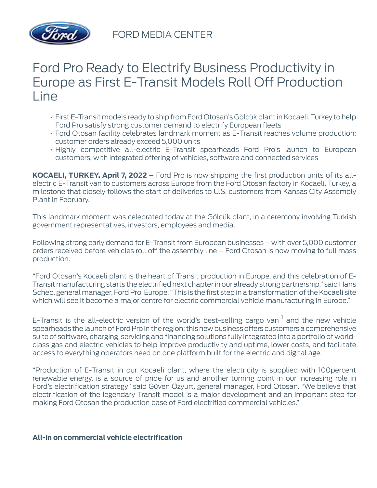

## Ford Pro Ready to Electrify Business Productivity in Europe as First E-Transit Models Roll Off Production Line

- First E-Transit models ready to ship from Ford Otosan's Gölcük plant in Kocaeli, Turkey to help Ford Pro satisfy strong customer demand to electrify European fleets
- Ford Otosan facility celebrates landmark moment as E-Transit reaches volume production; customer orders already exceed 5,000 units
- Highly competitive all-electric E-Transit spearheads Ford Pro's launch to European customers, with integrated offering of vehicles, software and connected services

**KOCAELI, TURKEY, April 7, 2022** – Ford Pro is now shipping the first production units of its allelectric E-Transit van to customers across Europe from the Ford Otosan factory in Kocaeli, Turkey, a milestone that closely follows the start of deliveries to U.S. customers from Kansas City Assembly Plant in February.

This landmark moment was celebrated today at the Gölcük plant, in a ceremony involving Turkish government representatives, investors, employees and media.

Following strong early demand for E-Transit from European businesses – with over 5,000 customer orders received before vehicles roll off the assembly line – Ford Otosan is now moving to full mass production.

"Ford Otosan's Kocaeli plant is the heart of Transit production in Europe, and this celebration of E-Transit manufacturing starts the electrified next chapter in our already strong partnership," said Hans Schep, general manager, Ford Pro, Europe. "This is the first step in a transformation of the Kocaeli site which will see it become a major centre for electric commercial vehicle manufacturing in Europe."

E-Transit is the all-electric version of the world's best-selling cargo van  $1$  and the new vehicle spearheads the launch of Ford Pro in the region; this new business offers customers a comprehensive suite of software, charging, servicing and financing solutions fully integrated into a portfolio of worldclass gas and electric vehicles to help improve productivity and uptime, lower costs, and facilitate access to everything operators need on one platform built for the electric and digital age.

"Production of E-Transit in our Kocaeli plant, where the electricity is supplied with 100percent renewable energy, is a source of pride for us and another turning point in our increasing role in Ford's electrification strategy" said Güven Özyurt, general manager, Ford Otosan. "We believe that electrification of the legendary Transit model is a major development and an important step for making Ford Otosan the production base of Ford electrified commercial vehicles."

## **All-in on commercial vehicle electrification**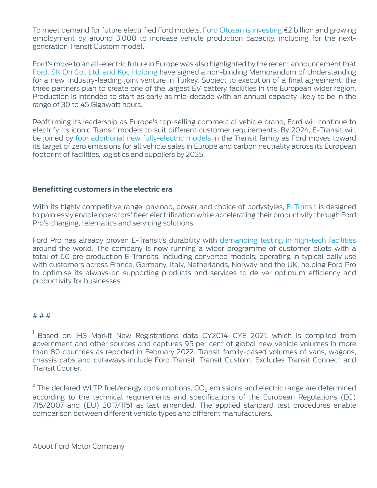To meet demand for future electrified Ford models, [Ford Otosan is investing](https://media.ford.com/content/fordmedia/feu/en/news/2021/03/16/next-generation-ford-transit-custom-all-electric-coming-in-2023-.html) €2 billion and growing employment by around 3,000 to increase vehicle production capacity, including for the nextgeneration Transit Custom model.

Ford's move to an all-electric future in Europe was also highlighted by the recent announcement that [Ford, SK On Co., Ltd. and Koç Holding](https://media.ford.com/content/fordmedia/feu/en/news/2022/03/14/battery.html) have signed a non-binding Memorandum of Understanding for a new, industry-leading joint venture in Turkey. Subject to execution of a final agreement, the three partners plan to create one of the largest EV battery facilities in the European wider region. Production is intended to start as early as mid-decade with an annual capacity likely to be in the range of 30 to 45 Gigawatt hours.

Reaffirming its leadership as Europe's top-selling commercial vehicle brand, Ford will continue to electrify its iconic Transit models to suit different customer requirements. By 2024, E-Transit will be joined by [four additional new fully-electric models](https://media.ford.com/content/fordmedia/feu/en/news/2022/03/14/Ford-Takes-Bold-Steps-Toward-All-Electric-Future-in-Europe.html) in the Transit family as Ford moves toward its target of zero emissions for all vehicle sales in Europe and carbon neutrality across its European footprint of facilities, logistics and suppliers by 2035.

## **Benefitting customers in the electric era**

With its highly competitive range, payload, power and choice of bodystyles, [E-Transit](https://media.ford.com/content/fordmedia/feu/en/news/2021/08/31/ford_s-all-electric-e-transit-to-deliver-new-level-of-productivi.html) is designed to painlessly enable operators' fleet electrification while accelerating their productivity through Ford Pro's charging, telematics and servicing solutions.

Ford Pro has already proven E-Transit's durability with [demanding testing in high-tech facilities](https://media.ford.com/content/fordmedia/feu/en/news/2021/06/22/rough-day-at-work--all-electric-ford-e-transit--torture-tests-si.html) around the world. The company is now running a wider programme of customer pilots with a total of 60 pre-production E-Transits, including converted models, operating in typical daily use with customers across France, Germany, Italy, Netherlands, Norway and the UK, helping Ford Pro to optimise its always-on supporting products and services to deliver optimum efficiency and productivity for businesses.

## # # #

<sup>1</sup> Based on IHS Markit New Registrations data CY2014–CYE 2021, which is compiled from government and other sources and captures 95 per cent of global new vehicle volumes in more than 80 countries as reported in February 2022. Transit family-based volumes of vans, wagons, chassis cabs and cutaways include Ford Transit, Transit Custom. Excludes Transit Connect and Transit Courier.

 $2$  The declared WLTP fuel/energy consumptions,  $CO<sub>2</sub>$  emissions and electric range are determined according to the technical requirements and specifications of the European Regulations (EC) 715/2007 and (EU) 2017/1151 as last amended. The applied standard test procedures enable comparison between different vehicle types and different manufacturers.

About Ford Motor Company